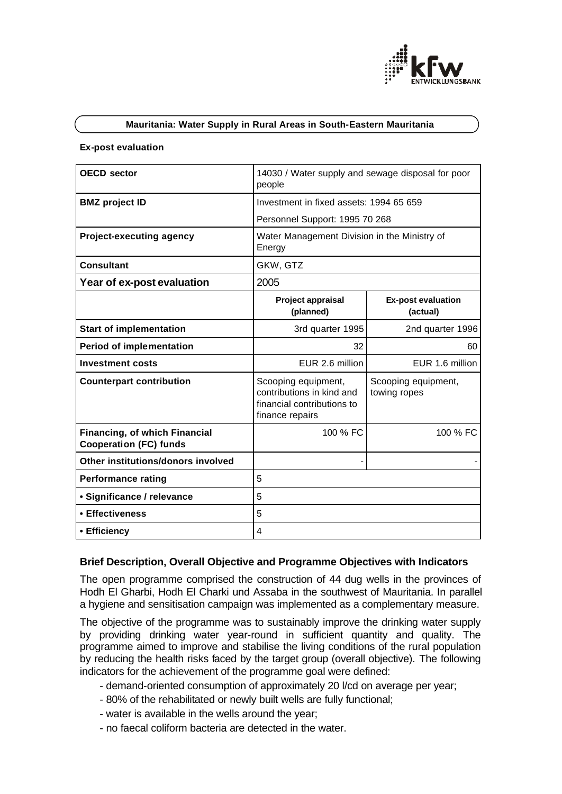

### **Mauritania: Water Supply in Rural Areas in South-Eastern Mauritania**

#### **Ex-post evaluation**

| <b>OECD</b> sector                                                    | 14030 / Water supply and sewage disposal for poor<br>people                                       |                                       |
|-----------------------------------------------------------------------|---------------------------------------------------------------------------------------------------|---------------------------------------|
| <b>BMZ</b> project ID                                                 | Investment in fixed assets: 1994 65 659                                                           |                                       |
|                                                                       | Personnel Support: 1995 70 268                                                                    |                                       |
| <b>Project-executing agency</b>                                       | Water Management Division in the Ministry of<br>Energy                                            |                                       |
| <b>Consultant</b>                                                     | GKW, GTZ                                                                                          |                                       |
| Year of ex-post evaluation                                            | 2005                                                                                              |                                       |
|                                                                       | Project appraisal<br>(planned)                                                                    | <b>Ex-post evaluation</b><br>(actual) |
| <b>Start of implementation</b>                                        | 3rd quarter 1995                                                                                  | 2nd quarter 1996                      |
| <b>Period of implementation</b>                                       | 32                                                                                                | 60                                    |
| <b>Investment costs</b>                                               | EUR 2.6 million                                                                                   | EUR 1.6 million                       |
| <b>Counterpart contribution</b>                                       | Scooping equipment,<br>contributions in kind and<br>financial contributions to<br>finance repairs | Scooping equipment,<br>towing ropes   |
| <b>Financing, of which Financial</b><br><b>Cooperation (FC) funds</b> | 100 % FC                                                                                          | 100 % FC                              |
| Other institutions/donors involved                                    |                                                                                                   |                                       |
| <b>Performance rating</b>                                             | 5                                                                                                 |                                       |
| • Significance / relevance                                            | 5                                                                                                 |                                       |
| • Effectiveness                                                       | 5                                                                                                 |                                       |
| • Efficiency                                                          | 4                                                                                                 |                                       |

### **Brief Description, Overall Objective and Programme Objectives with Indicators**

The open programme comprised the construction of 44 dug wells in the provinces of Hodh El Gharbi, Hodh El Charki und Assaba in the southwest of Mauritania. In parallel a hygiene and sensitisation campaign was implemented as a complementary measure.

The objective of the programme was to sustainably improve the drinking water supply by providing drinking water year-round in sufficient quantity and quality. The programme aimed to improve and stabilise the living conditions of the rural population by reducing the health risks faced by the target group (overall objective). The following indicators for the achievement of the programme goal were defined:

- demand-oriented consumption of approximately 20 l/cd on average per year;
- 80% of the rehabilitated or newly built wells are fully functional;
- water is available in the wells around the year;
- no faecal coliform bacteria are detected in the water.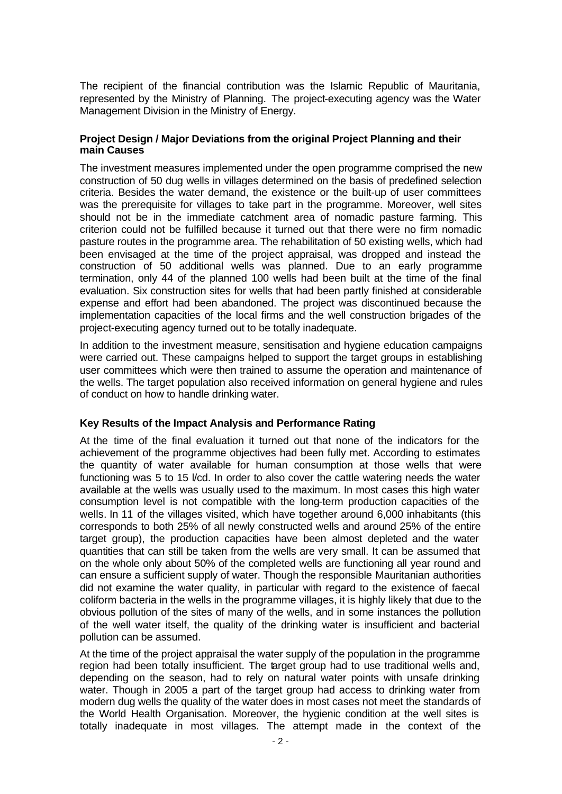The recipient of the financial contribution was the Islamic Republic of Mauritania, represented by the Ministry of Planning. The project-executing agency was the Water Management Division in the Ministry of Energy.

### **Project Design / Major Deviations from the original Project Planning and their main Causes**

The investment measures implemented under the open programme comprised the new construction of 50 dug wells in villages determined on the basis of predefined selection criteria. Besides the water demand, the existence or the built-up of user committees was the prerequisite for villages to take part in the programme. Moreover, well sites should not be in the immediate catchment area of nomadic pasture farming. This criterion could not be fulfilled because it turned out that there were no firm nomadic pasture routes in the programme area. The rehabilitation of 50 existing wells, which had been envisaged at the time of the project appraisal, was dropped and instead the construction of 50 additional wells was planned. Due to an early programme termination, only 44 of the planned 100 wells had been built at the time of the final evaluation. Six construction sites for wells that had been partly finished at considerable expense and effort had been abandoned. The project was discontinued because the implementation capacities of the local firms and the well construction brigades of the project-executing agency turned out to be totally inadequate.

In addition to the investment measure, sensitisation and hygiene education campaigns were carried out. These campaigns helped to support the target groups in establishing user committees which were then trained to assume the operation and maintenance of the wells. The target population also received information on general hygiene and rules of conduct on how to handle drinking water.

# **Key Results of the Impact Analysis and Performance Rating**

At the time of the final evaluation it turned out that none of the indicators for the achievement of the programme objectives had been fully met. According to estimates the quantity of water available for human consumption at those wells that were functioning was 5 to 15 l/cd. In order to also cover the cattle watering needs the water available at the wells was usually used to the maximum. In most cases this high water consumption level is not compatible with the long-term production capacities of the wells. In 11 of the villages visited, which have together around 6,000 inhabitants (this corresponds to both 25% of all newly constructed wells and around 25% of the entire target group), the production capacities have been almost depleted and the water quantities that can still be taken from the wells are very small. It can be assumed that on the whole only about 50% of the completed wells are functioning all year round and can ensure a sufficient supply of water. Though the responsible Mauritanian authorities did not examine the water quality, in particular with regard to the existence of faecal coliform bacteria in the wells in the programme villages, it is highly likely that due to the obvious pollution of the sites of many of the wells, and in some instances the pollution of the well water itself, the quality of the drinking water is insufficient and bacterial pollution can be assumed.

At the time of the project appraisal the water supply of the population in the programme region had been totally insufficient. The target group had to use traditional wells and, depending on the season, had to rely on natural water points with unsafe drinking water. Though in 2005 a part of the target group had access to drinking water from modern dug wells the quality of the water does in most cases not meet the standards of the World Health Organisation. Moreover, the hygienic condition at the well sites is totally inadequate in most villages. The attempt made in the context of the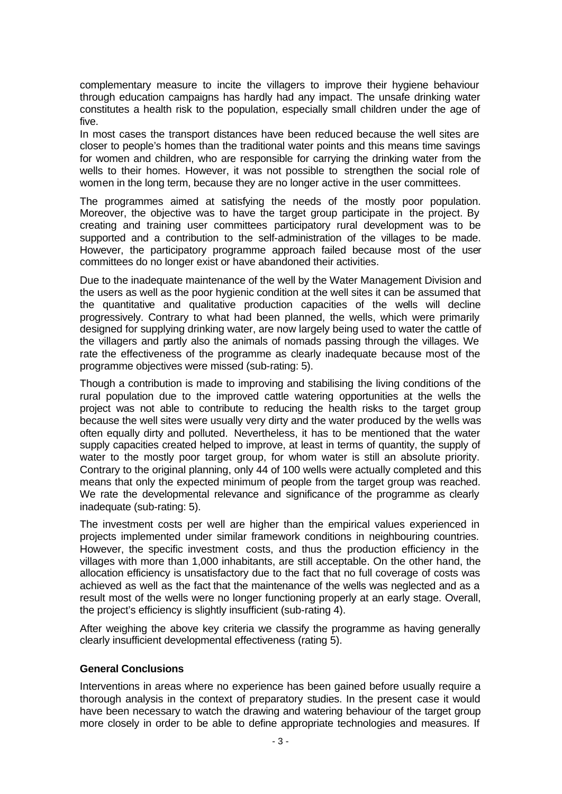complementary measure to incite the villagers to improve their hygiene behaviour through education campaigns has hardly had any impact. The unsafe drinking water constitutes a health risk to the population, especially small children under the age of five.

In most cases the transport distances have been reduced because the well sites are closer to people's homes than the traditional water points and this means time savings for women and children, who are responsible for carrying the drinking water from the wells to their homes. However, it was not possible to strengthen the social role of women in the long term, because they are no longer active in the user committees.

The programmes aimed at satisfying the needs of the mostly poor population. Moreover, the objective was to have the target group participate in the project. By creating and training user committees participatory rural development was to be supported and a contribution to the self-administration of the villages to be made. However, the participatory programme approach failed because most of the user committees do no longer exist or have abandoned their activities.

Due to the inadequate maintenance of the well by the Water Management Division and the users as well as the poor hygienic condition at the well sites it can be assumed that the quantitative and qualitative production capacities of the wells will decline progressively. Contrary to what had been planned, the wells, which were primarily designed for supplying drinking water, are now largely being used to water the cattle of the villagers and partly also the animals of nomads passing through the villages. We rate the effectiveness of the programme as clearly inadequate because most of the programme objectives were missed (sub-rating: 5).

Though a contribution is made to improving and stabilising the living conditions of the rural population due to the improved cattle watering opportunities at the wells the project was not able to contribute to reducing the health risks to the target group because the well sites were usually very dirty and the water produced by the wells was often equally dirty and polluted. Nevertheless, it has to be mentioned that the water supply capacities created helped to improve, at least in terms of quantity, the supply of water to the mostly poor target group, for whom water is still an absolute priority. Contrary to the original planning, only 44 of 100 wells were actually completed and this means that only the expected minimum of people from the target group was reached. We rate the developmental relevance and significance of the programme as clearly inadequate (sub-rating: 5).

The investment costs per well are higher than the empirical values experienced in projects implemented under similar framework conditions in neighbouring countries. However, the specific investment costs, and thus the production efficiency in the villages with more than 1,000 inhabitants, are still acceptable. On the other hand, the allocation efficiency is unsatisfactory due to the fact that no full coverage of costs was achieved as well as the fact that the maintenance of the wells was neglected and as a result most of the wells were no longer functioning properly at an early stage. Overall, the project's efficiency is slightly insufficient (sub-rating 4).

After weighing the above key criteria we classify the programme as having generally clearly insufficient developmental effectiveness (rating 5).

# **General Conclusions**

Interventions in areas where no experience has been gained before usually require a thorough analysis in the context of preparatory studies. In the present case it would have been necessary to watch the drawing and watering behaviour of the target group more closely in order to be able to define appropriate technologies and measures. If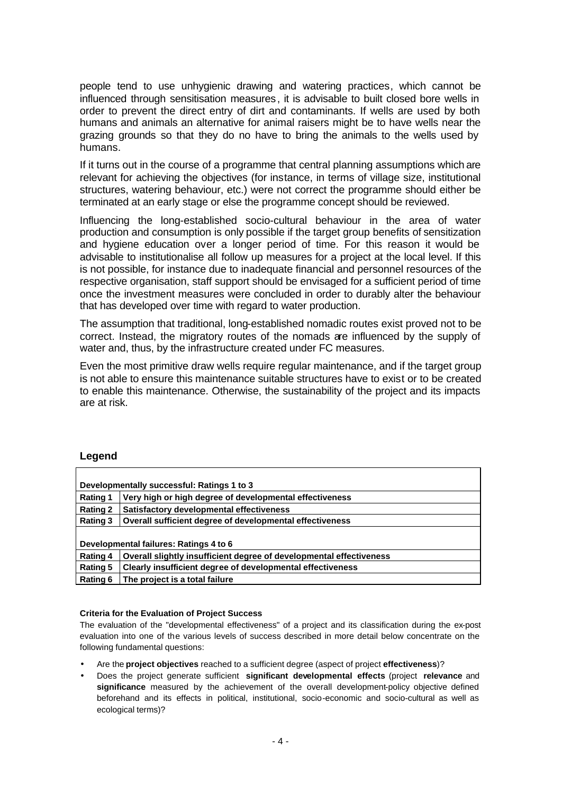people tend to use unhygienic drawing and watering practices, which cannot be influenced through sensitisation measures, it is advisable to built closed bore wells in order to prevent the direct entry of dirt and contaminants. If wells are used by both humans and animals an alternative for animal raisers might be to have wells near the grazing grounds so that they do no have to bring the animals to the wells used by humans.

If it turns out in the course of a programme that central planning assumptions which are relevant for achieving the objectives (for instance, in terms of village size, institutional structures, watering behaviour, etc.) were not correct the programme should either be terminated at an early stage or else the programme concept should be reviewed.

Influencing the long-established socio-cultural behaviour in the area of water production and consumption is only possible if the target group benefits of sensitization and hygiene education over a longer period of time. For this reason it would be advisable to institutionalise all follow up measures for a project at the local level. If this is not possible, for instance due to inadequate financial and personnel resources of the respective organisation, staff support should be envisaged for a sufficient period of time once the investment measures were concluded in order to durably alter the behaviour that has developed over time with regard to water production.

The assumption that traditional, long-established nomadic routes exist proved not to be correct. Instead, the migratory routes of the nomads are influenced by the supply of water and, thus, by the infrastructure created under FC measures.

Even the most primitive draw wells require regular maintenance, and if the target group is not able to ensure this maintenance suitable structures have to exist or to be created to enable this maintenance. Otherwise, the sustainability of the project and its impacts are at risk.

# **Legend**

| Developmentally successful: Ratings 1 to 3 |                                                                     |  |
|--------------------------------------------|---------------------------------------------------------------------|--|
| <b>Rating 1</b>                            | Very high or high degree of developmental effectiveness             |  |
| <b>Rating 2</b>                            | Satisfactory developmental effectiveness                            |  |
| Rating 3                                   | Overall sufficient degree of developmental effectiveness            |  |
|                                            |                                                                     |  |
| Developmental failures: Ratings 4 to 6     |                                                                     |  |
| <b>Rating 4</b>                            | Overall slightly insufficient degree of developmental effectiveness |  |
| <b>Rating 5</b>                            | Clearly insufficient degree of developmental effectiveness          |  |
| Rating 6                                   | The project is a total failure                                      |  |

#### **Criteria for the Evaluation of Project Success**

The evaluation of the "developmental effectiveness" of a project and its classification during the ex-post evaluation into one of the various levels of success described in more detail below concentrate on the following fundamental questions:

- Are the **project objectives** reached to a sufficient degree (aspect of project **effectiveness**)?
- Does the project generate sufficient **significant developmental effects** (project **relevance** and **significance** measured by the achievement of the overall development-policy objective defined beforehand and its effects in political, institutional, socio-economic and socio-cultural as well as ecological terms)?